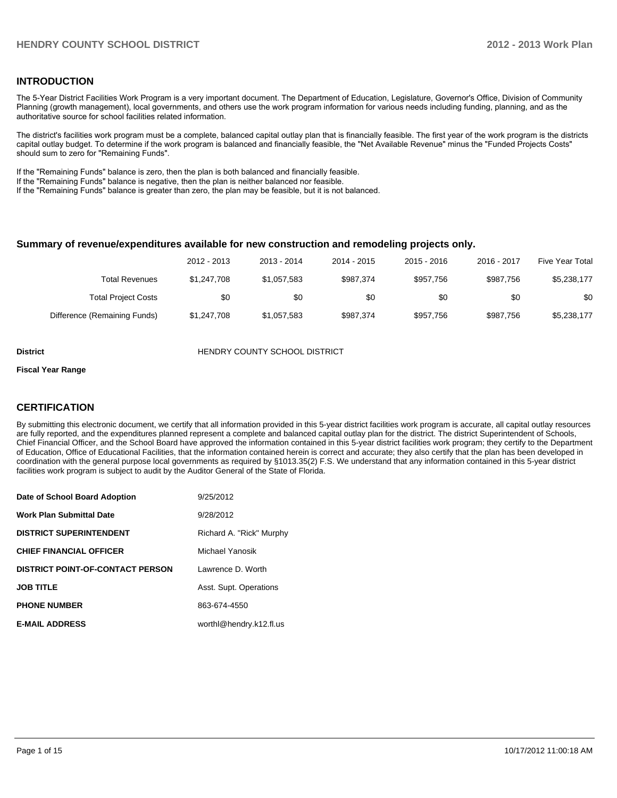### **INTRODUCTION**

The 5-Year District Facilities Work Program is a very important document. The Department of Education, Legislature, Governor's Office, Division of Community Planning (growth management), local governments, and others use the work program information for various needs including funding, planning, and as the authoritative source for school facilities related information.

The district's facilities work program must be a complete, balanced capital outlay plan that is financially feasible. The first year of the work program is the districts capital outlay budget. To determine if the work program is balanced and financially feasible, the "Net Available Revenue" minus the "Funded Projects Costs" should sum to zero for "Remaining Funds".

If the "Remaining Funds" balance is zero, then the plan is both balanced and financially feasible.

If the "Remaining Funds" balance is negative, then the plan is neither balanced nor feasible.

If the "Remaining Funds" balance is greater than zero, the plan may be feasible, but it is not balanced.

### **Summary of revenue/expenditures available for new construction and remodeling projects only.**

| <b>Five Year Total</b> | 2016 - 2017 | $2015 - 2016$ | 2014 - 2015 | 2013 - 2014 | 2012 - 2013 |                              |
|------------------------|-------------|---------------|-------------|-------------|-------------|------------------------------|
| \$5,238,177            | \$987.756   | \$957.756     | \$987.374   | \$1.057.583 | \$1,247,708 | <b>Total Revenues</b>        |
| \$0                    | \$0         | \$0           | \$0         | \$0         | \$0         | <b>Total Project Costs</b>   |
| \$5,238,177            | \$987.756   | \$957.756     | \$987.374   | \$1,057,583 | \$1,247,708 | Difference (Remaining Funds) |

**District COUNTY SCHOOL DISTRICT** 

#### **Fiscal Year Range**

### **CERTIFICATION**

By submitting this electronic document, we certify that all information provided in this 5-year district facilities work program is accurate, all capital outlay resources are fully reported, and the expenditures planned represent a complete and balanced capital outlay plan for the district. The district Superintendent of Schools, Chief Financial Officer, and the School Board have approved the information contained in this 5-year district facilities work program; they certify to the Department of Education, Office of Educational Facilities, that the information contained herein is correct and accurate; they also certify that the plan has been developed in coordination with the general purpose local governments as required by §1013.35(2) F.S. We understand that any information contained in this 5-year district facilities work program is subject to audit by the Auditor General of the State of Florida.

| Date of School Board Adoption           | 9/25/2012                |
|-----------------------------------------|--------------------------|
| <b>Work Plan Submittal Date</b>         | 9/28/2012                |
| <b>DISTRICT SUPERINTENDENT</b>          | Richard A. "Rick" Murphy |
| <b>CHIEF FINANCIAL OFFICER</b>          | Michael Yanosik          |
| <b>DISTRICT POINT-OF-CONTACT PERSON</b> | Lawrence D. Worth        |
| <b>JOB TITLE</b>                        | Asst. Supt. Operations   |
| <b>PHONE NUMBER</b>                     | 863-674-4550             |
| <b>E-MAIL ADDRESS</b>                   | worthl@hendry.k12.fl.us  |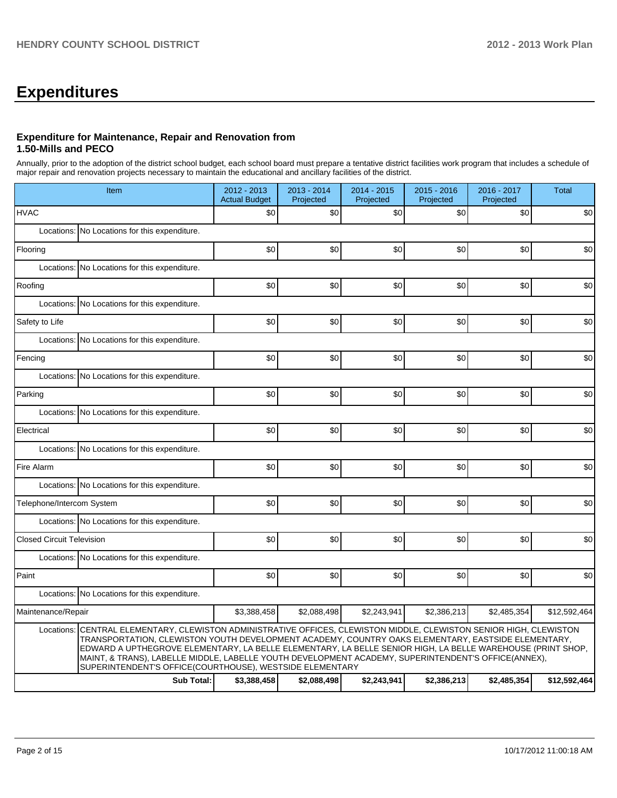## **Expenditures**

### **Expenditure for Maintenance, Repair and Renovation from 1.50-Mills and PECO**

Annually, prior to the adoption of the district school budget, each school board must prepare a tentative district facilities work program that includes a schedule of major repair and renovation projects necessary to maintain the educational and ancillary facilities of the district.

|                                  | Item                                                                                                                                                                                                                                                                                                                                                                                                                                                                                                       | 2012 - 2013<br><b>Actual Budget</b> | $2013 - 2014$<br>Projected | 2014 - 2015<br>Projected | $2015 - 2016$<br>Projected | 2016 - 2017<br>Projected | Total        |  |  |
|----------------------------------|------------------------------------------------------------------------------------------------------------------------------------------------------------------------------------------------------------------------------------------------------------------------------------------------------------------------------------------------------------------------------------------------------------------------------------------------------------------------------------------------------------|-------------------------------------|----------------------------|--------------------------|----------------------------|--------------------------|--------------|--|--|
| <b>HVAC</b>                      |                                                                                                                                                                                                                                                                                                                                                                                                                                                                                                            | \$0                                 | \$0                        | \$0                      | \$0                        | \$0                      | \$0          |  |  |
|                                  | Locations: No Locations for this expenditure.                                                                                                                                                                                                                                                                                                                                                                                                                                                              |                                     |                            |                          |                            |                          |              |  |  |
| Flooring                         |                                                                                                                                                                                                                                                                                                                                                                                                                                                                                                            | \$0                                 | \$0                        | \$0                      | \$0                        | \$0                      | \$0          |  |  |
|                                  | Locations: No Locations for this expenditure.                                                                                                                                                                                                                                                                                                                                                                                                                                                              |                                     |                            |                          |                            |                          |              |  |  |
| Roofing                          |                                                                                                                                                                                                                                                                                                                                                                                                                                                                                                            | \$0                                 | \$0                        | \$0                      | \$0                        | \$0                      | \$0          |  |  |
| Locations:                       | No Locations for this expenditure.                                                                                                                                                                                                                                                                                                                                                                                                                                                                         |                                     |                            |                          |                            |                          |              |  |  |
| Safety to Life                   |                                                                                                                                                                                                                                                                                                                                                                                                                                                                                                            | \$0                                 | \$0                        | \$0                      | \$0                        | \$0                      | \$0          |  |  |
|                                  | Locations: No Locations for this expenditure.                                                                                                                                                                                                                                                                                                                                                                                                                                                              |                                     |                            |                          |                            |                          |              |  |  |
| Fencing                          |                                                                                                                                                                                                                                                                                                                                                                                                                                                                                                            | \$0                                 | \$0                        | \$0                      | \$0                        | \$0                      | \$0          |  |  |
|                                  | Locations: No Locations for this expenditure.                                                                                                                                                                                                                                                                                                                                                                                                                                                              |                                     |                            |                          |                            |                          |              |  |  |
| Parking                          |                                                                                                                                                                                                                                                                                                                                                                                                                                                                                                            | \$0                                 | \$0                        | \$0                      | \$0                        | \$0                      | \$0          |  |  |
|                                  | Locations: No Locations for this expenditure.                                                                                                                                                                                                                                                                                                                                                                                                                                                              |                                     |                            |                          |                            |                          |              |  |  |
| Electrical                       |                                                                                                                                                                                                                                                                                                                                                                                                                                                                                                            | \$0                                 | \$0                        | \$0                      | \$0                        | \$0                      | \$0          |  |  |
|                                  | Locations: No Locations for this expenditure.                                                                                                                                                                                                                                                                                                                                                                                                                                                              |                                     |                            |                          |                            |                          |              |  |  |
| Fire Alarm                       |                                                                                                                                                                                                                                                                                                                                                                                                                                                                                                            | \$0                                 | \$0                        | \$0                      | \$0                        | \$0                      | \$0          |  |  |
|                                  | Locations: No Locations for this expenditure.                                                                                                                                                                                                                                                                                                                                                                                                                                                              |                                     |                            |                          |                            |                          |              |  |  |
| Telephone/Intercom System        |                                                                                                                                                                                                                                                                                                                                                                                                                                                                                                            | \$0                                 | \$0                        | \$0                      | \$0                        | \$0                      | \$0          |  |  |
|                                  | Locations: No Locations for this expenditure.                                                                                                                                                                                                                                                                                                                                                                                                                                                              |                                     |                            |                          |                            |                          |              |  |  |
| <b>Closed Circuit Television</b> |                                                                                                                                                                                                                                                                                                                                                                                                                                                                                                            | \$0                                 | \$0                        | \$0                      | \$0                        | \$0                      | \$0          |  |  |
|                                  | Locations: No Locations for this expenditure.                                                                                                                                                                                                                                                                                                                                                                                                                                                              |                                     |                            |                          |                            |                          |              |  |  |
| Paint                            |                                                                                                                                                                                                                                                                                                                                                                                                                                                                                                            | \$0                                 | \$0                        | \$0                      | \$0                        | \$0                      | \$0          |  |  |
|                                  | Locations: No Locations for this expenditure.                                                                                                                                                                                                                                                                                                                                                                                                                                                              |                                     |                            |                          |                            |                          |              |  |  |
| Maintenance/Repair               |                                                                                                                                                                                                                                                                                                                                                                                                                                                                                                            | \$3,388,458                         | \$2,088,498                | \$2,243,941              | \$2,386,213                | \$2,485,354              | \$12,592,464 |  |  |
|                                  | Locations: CENTRAL ELEMENTARY, CLEWISTON ADMINISTRATIVE OFFICES, CLEWISTON MIDDLE, CLEWISTON SENIOR HIGH, CLEWISTON<br>TRANSPORTATION, CLEWISTON YOUTH DEVELOPMENT ACADEMY, COUNTRY OAKS ELEMENTARY, EASTSIDE ELEMENTARY,<br>EDWARD A UPTHEGROVE ELEMENTARY, LA BELLE ELEMENTARY, LA BELLE SENIOR HIGH, LA BELLE WAREHOUSE (PRINT SHOP,<br>MAINT, & TRANS), LABELLE MIDDLE, LABELLE YOUTH DEVELOPMENT ACADEMY, SUPERINTENDENT'S OFFICE(ANNEX),<br>SUPERINTENDENT'S OFFICE(COURTHOUSE), WESTSIDE ELEMENTARY |                                     |                            |                          |                            |                          |              |  |  |
|                                  | <b>Sub Total:</b>                                                                                                                                                                                                                                                                                                                                                                                                                                                                                          | \$3,388,458                         | \$2,088,498                | \$2,243,941              | \$2,386,213                | \$2,485,354              | \$12,592,464 |  |  |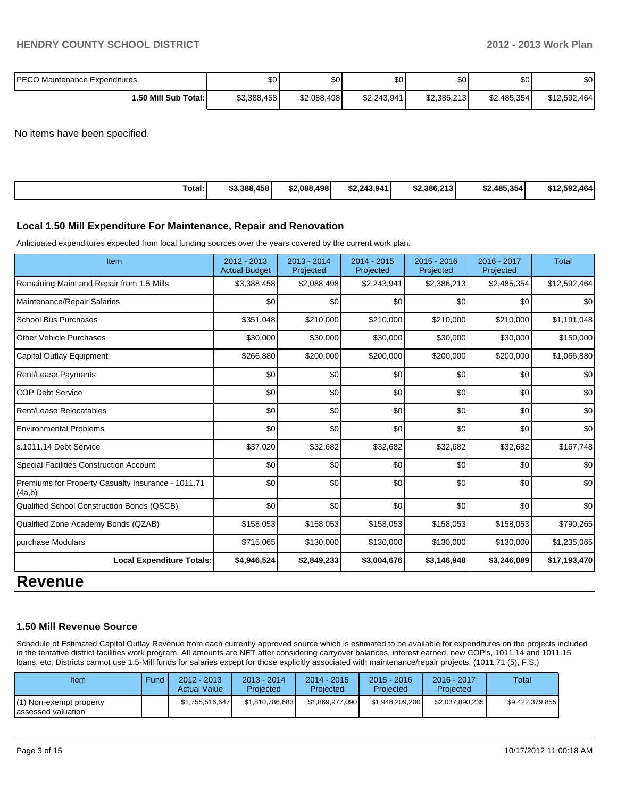| <b>IPECO Maintenance Expenditures</b> | \$0 <sub>1</sub> | ሶሳ<br>Φ∪    | \$0         | ሶስ<br>υU    | \$0 <sub>1</sub> | ¢Λ<br>Φ∪     |
|---------------------------------------|------------------|-------------|-------------|-------------|------------------|--------------|
| 1.50 Mill Sub Total:                  | \$3,388,458      | \$2,088,498 | \$2.243.941 | \$2,386,213 | \$2,485,354      | \$12,592,464 |

No items have been specified.

| Total:<br>\$3,388,458 | \$2.088.498<br>\$2,243,941 | \$2,386,213 | \$2.485.354 | \$12,592,464 |
|-----------------------|----------------------------|-------------|-------------|--------------|
|-----------------------|----------------------------|-------------|-------------|--------------|

### **Local 1.50 Mill Expenditure For Maintenance, Repair and Renovation**

Anticipated expenditures expected from local funding sources over the years covered by the current work plan.

| Item                                                         | $2012 - 2013$<br><b>Actual Budget</b> | $2013 - 2014$<br>Projected | $2014 - 2015$<br>Projected | 2015 - 2016<br>Projected | $2016 - 2017$<br>Projected | <b>Total</b> |
|--------------------------------------------------------------|---------------------------------------|----------------------------|----------------------------|--------------------------|----------------------------|--------------|
| Remaining Maint and Repair from 1.5 Mills                    | \$3,388,458                           | \$2,088,498                | \$2,243,941                | \$2,386,213              | \$2,485,354                | \$12,592,464 |
| Maintenance/Repair Salaries                                  | \$0                                   | \$0                        | \$0                        | \$0                      | \$0                        | \$0          |
| School Bus Purchases                                         | \$351,048                             | \$210,000                  | \$210,000                  | \$210,000                | \$210,000                  | \$1,191,048  |
| <b>Other Vehicle Purchases</b>                               | \$30,000                              | \$30,000                   | \$30,000                   | \$30,000                 | \$30,000                   | \$150,000    |
| Capital Outlay Equipment                                     | \$266,880                             | \$200,000                  | \$200,000                  | \$200,000                | \$200,000                  | \$1,066,880  |
| Rent/Lease Payments                                          | \$0                                   | \$0                        | \$0                        | \$0                      | \$0                        | \$0          |
| <b>COP Debt Service</b>                                      | \$0                                   | \$0                        | \$0                        | \$0                      | \$0                        | \$0          |
| Rent/Lease Relocatables                                      | \$0                                   | \$0                        | \$0                        | \$0                      | \$0                        | \$0          |
| <b>Environmental Problems</b>                                | \$0                                   | \$0                        | \$0                        | \$0                      | \$0                        | \$0          |
| ls.1011.14 Debt Service                                      | \$37,020                              | \$32,682                   | \$32,682                   | \$32,682                 | \$32,682                   | \$167,748    |
| Special Facilities Construction Account                      | \$0                                   | \$0                        | \$0                        | \$0                      | \$0                        | \$0          |
| Premiums for Property Casualty Insurance - 1011.71<br>(4a,b) | \$0                                   | \$0                        | \$0                        | \$0                      | \$0                        | \$0          |
| Qualified School Construction Bonds (QSCB)                   | \$0                                   | \$0                        | \$0                        | \$0                      | \$0                        | \$0          |
| Qualified Zone Academy Bonds (QZAB)                          | \$158,053                             | \$158,053                  | \$158,053                  | \$158,053                | \$158,053                  | \$790,265    |
| purchase Modulars                                            | \$715,065                             | \$130,000                  | \$130,000                  | \$130,000                | \$130,000                  | \$1,235,065  |
| <b>Local Expenditure Totals:</b>                             | \$4,946,524                           | \$2,849,233                | \$3,004,676                | \$3,146,948              | \$3,246,089                | \$17,193,470 |

## **Revenue**

### **1.50 Mill Revenue Source**

Schedule of Estimated Capital Outlay Revenue from each currently approved source which is estimated to be available for expenditures on the projects included in the tentative district facilities work program. All amounts are NET after considering carryover balances, interest earned, new COP's, 1011.14 and 1011.15 loans, etc. Districts cannot use 1.5-Mill funds for salaries except for those explicitly associated with maintenance/repair projects. (1011.71 (5), F.S.)

| Item                                           | Fund | $2012 - 2013$<br><b>Actual Value</b> | 2013 - 2014<br>Projected | 2014 - 2015<br>Projected | $2015 - 2016$<br>Projected | 2016 - 2017<br>Projected | Total           |
|------------------------------------------------|------|--------------------------------------|--------------------------|--------------------------|----------------------------|--------------------------|-----------------|
| (1) Non-exempt property<br>lassessed valuation |      | \$1,755,516,647                      | \$1,810,786,683          | \$1.869.977.090          | \$1,948,209,200            | \$2,037,890,235          | \$9,422,379,855 |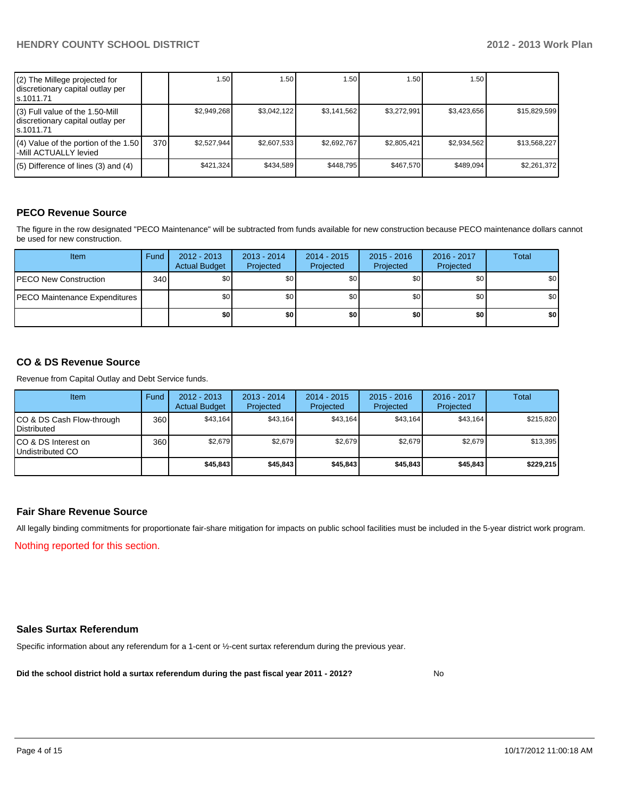| (2) The Millege projected for<br>discretionary capital outlay per<br>s.1011.71    |     | 1.50 <sub>1</sub> | .50 <sub>1</sub> | 1.50        | 1.50        | 1.50        |              |
|-----------------------------------------------------------------------------------|-----|-------------------|------------------|-------------|-------------|-------------|--------------|
| (3) Full value of the 1.50-Mill<br>discretionary capital outlay per<br>ls.1011.71 |     | \$2.949.268       | \$3.042.122      | \$3.141.562 | \$3.272.991 | \$3.423.656 | \$15,829,599 |
| (4) Value of the portion of the 1.50<br>-Mill ACTUALLY levied                     | 370 | \$2.527.944       | \$2.607.533      | \$2.692.767 | \$2.805.421 | \$2.934.562 | \$13,568,227 |
| $(5)$ Difference of lines (3) and (4)                                             |     | \$421.324         | \$434,589        | \$448.795   | \$467.570   | \$489.094   | \$2,261,372  |

### **PECO Revenue Source**

The figure in the row designated "PECO Maintenance" will be subtracted from funds available for new construction because PECO maintenance dollars cannot be used for new construction.

| <b>Item</b>                          | Fund | $2012 - 2013$<br><b>Actual Budget</b> | $2013 - 2014$<br>Projected | $2014 - 2015$<br>Projected | $2015 - 2016$<br>Projected | 2016 - 2017<br>Projected | Total            |
|--------------------------------------|------|---------------------------------------|----------------------------|----------------------------|----------------------------|--------------------------|------------------|
| <b>IPECO New Construction</b>        | 340  | \$0                                   | \$0                        | \$0                        | \$0                        | \$0 <sub>1</sub>         | \$0              |
| <b>PECO Maintenance Expenditures</b> |      | \$0                                   | \$0                        | \$0                        | \$0                        | \$0                      | \$0 <sub>1</sub> |
|                                      |      | \$0 I                                 | \$0                        | \$0                        | \$0                        | \$0                      | \$0              |

### **CO & DS Revenue Source**

Revenue from Capital Outlay and Debt Service funds.

| Item                                               | Fund | 2012 - 2013<br><b>Actual Budget</b> | $2013 - 2014$<br>Projected | 2014 - 2015<br>Projected | $2015 - 2016$<br>Projected | $2016 - 2017$<br>Projected | Total     |
|----------------------------------------------------|------|-------------------------------------|----------------------------|--------------------------|----------------------------|----------------------------|-----------|
| ICO & DS Cash Flow-through<br><b>I</b> Distributed | 360  | \$43.164                            | \$43,164                   | \$43.164                 | \$43.164                   | \$43.164                   | \$215,820 |
| ICO & DS Interest on<br>Undistributed CO           | 360  | \$2,679                             | \$2,679                    | \$2.679                  | \$2,679                    | \$2,679                    | \$13,395  |
|                                                    |      | \$45,843                            | \$45,843                   | \$45,843                 | \$45,843                   | \$45,843                   | \$229,215 |

### **Fair Share Revenue Source**

Nothing reported for this section. All legally binding commitments for proportionate fair-share mitigation for impacts on public school facilities must be included in the 5-year district work program.

### **Sales Surtax Referendum**

Specific information about any referendum for a 1-cent or ½-cent surtax referendum during the previous year.

**Did the school district hold a surtax referendum during the past fiscal year 2011 - 2012?**

No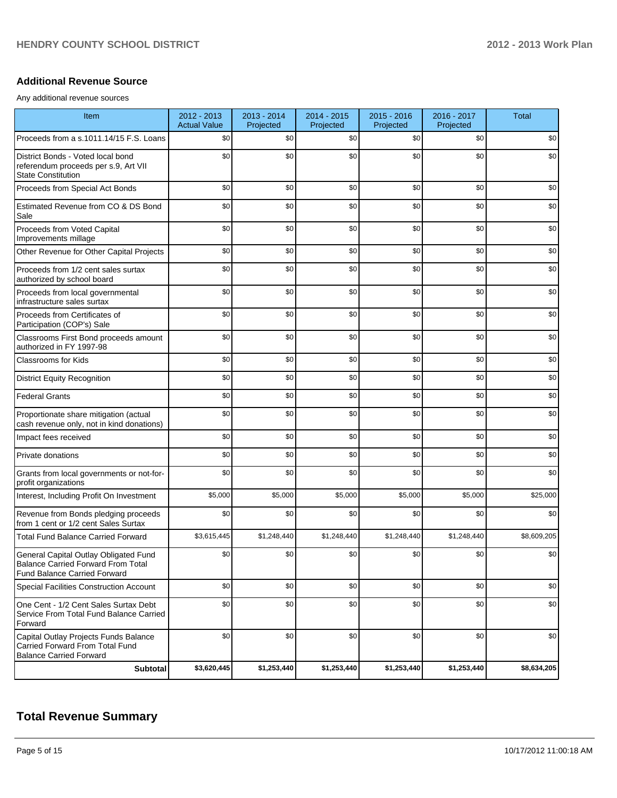### **Additional Revenue Source**

Any additional revenue sources

| Item                                                                                                                      | 2012 - 2013<br><b>Actual Value</b> | 2013 - 2014<br>Projected | 2014 - 2015<br>Projected | 2015 - 2016<br>Projected | 2016 - 2017<br>Projected | <b>Total</b> |
|---------------------------------------------------------------------------------------------------------------------------|------------------------------------|--------------------------|--------------------------|--------------------------|--------------------------|--------------|
| Proceeds from a s.1011.14/15 F.S. Loans                                                                                   | \$0                                | \$0                      | \$0                      | \$0                      | \$0                      | \$0          |
| District Bonds - Voted local bond<br>referendum proceeds per s.9, Art VII<br><b>State Constitution</b>                    | \$0                                | \$0                      | \$0                      | \$0                      | \$0                      | \$0          |
| Proceeds from Special Act Bonds                                                                                           | \$0                                | \$0                      | \$0                      | \$0                      | \$0                      | \$0          |
| Estimated Revenue from CO & DS Bond<br>Sale                                                                               | \$0                                | \$0                      | \$0                      | \$0                      | \$0                      | \$0          |
| Proceeds from Voted Capital<br>Improvements millage                                                                       | \$0                                | \$0                      | \$0                      | \$0                      | \$0                      | \$0          |
| Other Revenue for Other Capital Projects                                                                                  | \$0                                | \$0                      | \$0                      | \$0                      | \$0                      | \$0          |
| Proceeds from 1/2 cent sales surtax<br>authorized by school board                                                         | \$0                                | \$0                      | \$0                      | \$0                      | \$0                      | \$0          |
| Proceeds from local governmental<br>infrastructure sales surtax                                                           | \$0                                | \$0                      | \$0                      | \$0                      | \$0                      | \$0          |
| Proceeds from Certificates of<br>Participation (COP's) Sale                                                               | \$0                                | \$0                      | \$0                      | \$0                      | \$0                      | \$0          |
| Classrooms First Bond proceeds amount<br>authorized in FY 1997-98                                                         | \$0                                | \$0                      | \$0                      | \$0                      | \$0                      | \$0          |
| <b>Classrooms for Kids</b>                                                                                                | \$0                                | \$0                      | \$0                      | \$0                      | \$0                      | \$0          |
| <b>District Equity Recognition</b>                                                                                        | \$0                                | \$0                      | \$0                      | \$0                      | \$0                      | \$0          |
| <b>Federal Grants</b>                                                                                                     | \$0                                | \$0                      | \$0                      | \$0                      | \$0                      | \$0          |
| Proportionate share mitigation (actual<br>cash revenue only, not in kind donations)                                       | \$0                                | \$0                      | \$0                      | \$0                      | \$0                      | \$0          |
| Impact fees received                                                                                                      | \$0                                | \$0                      | \$0                      | \$0                      | \$0                      | \$0          |
| Private donations                                                                                                         | \$0                                | \$0                      | \$0                      | \$0                      | \$0                      | \$0          |
| Grants from local governments or not-for-<br>profit organizations                                                         | \$0                                | \$0                      | \$0                      | \$0                      | \$0                      | \$0          |
| Interest, Including Profit On Investment                                                                                  | \$5,000                            | \$5,000                  | \$5,000                  | \$5,000                  | \$5,000                  | \$25,000     |
| Revenue from Bonds pledging proceeds<br>from 1 cent or 1/2 cent Sales Surtax                                              | \$0                                | \$0                      | \$0                      | \$0                      | \$0                      | \$0          |
| <b>Total Fund Balance Carried Forward</b>                                                                                 | \$3,615,445                        | \$1,248,440              | \$1,248,440              | \$1,248,440              | \$1,248,440              | \$8,609,205  |
| General Capital Outlay Obligated Fund<br><b>Balance Carried Forward From Total</b><br><b>Fund Balance Carried Forward</b> | \$0                                | \$0                      | \$0                      | \$0                      | \$0                      | \$0          |
| <b>Special Facilities Construction Account</b>                                                                            | \$0                                | \$0                      | \$0                      | \$0                      | \$0                      | \$0          |
| One Cent - 1/2 Cent Sales Surtax Debt<br>Service From Total Fund Balance Carried<br>Forward                               | \$0                                | \$0                      | \$0                      | \$0                      | \$0                      | \$0          |
| Capital Outlay Projects Funds Balance<br>Carried Forward From Total Fund<br><b>Balance Carried Forward</b>                | \$0                                | \$0                      | \$0                      | \$0                      | \$0                      | \$0          |
| Subtotal                                                                                                                  | \$3,620,445                        | \$1,253,440              | \$1,253,440              | \$1,253,440              | \$1,253,440              | \$8,634,205  |

### **Total Revenue Summary**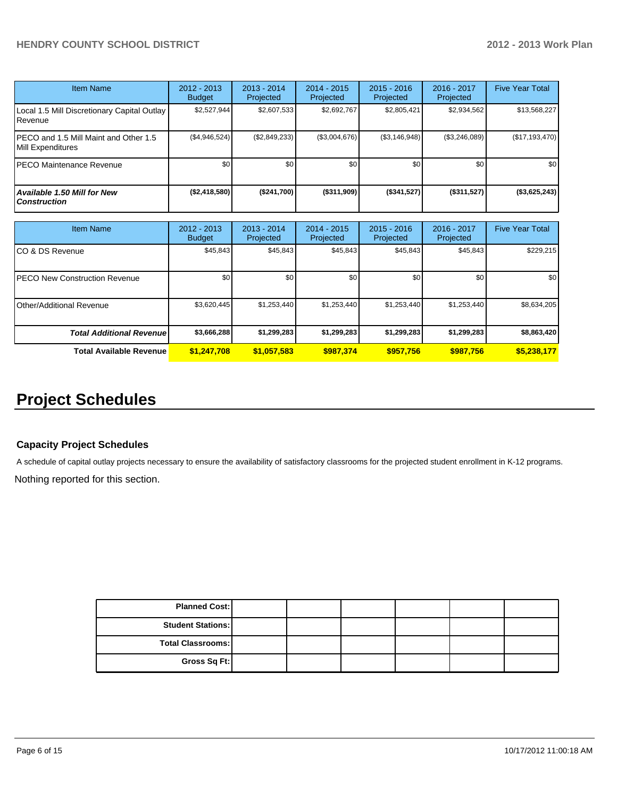| <b>Item Name</b>                                           | 2012 - 2013<br><b>Budget</b> | $2013 - 2014$<br>Projected | $2014 - 2015$<br>Projected | $2015 - 2016$<br>Projected | $2016 - 2017$<br>Projected | <b>Five Year Total</b> |
|------------------------------------------------------------|------------------------------|----------------------------|----------------------------|----------------------------|----------------------------|------------------------|
| Local 1.5 Mill Discretionary Capital Outlay<br>Revenue     | \$2,527,944                  | \$2,607,533                | \$2,692,767                | \$2,805,421                | \$2,934,562                | \$13,568,227           |
| PECO and 1.5 Mill Maint and Other 1.5<br>Mill Expenditures | (\$4,946,524)                | (\$2,849,233)              | (\$3,004,676)              | (S3, 146, 948)             | $(\$3,246,089)$            | (\$17,193,470)         |
| PECO Maintenance Revenue                                   | \$0                          | \$0                        | \$0                        | \$0                        | \$0                        | \$0 <sub>1</sub>       |
| <b>Available 1.50 Mill for New</b><br><b>Construction</b>  | (S2, 418, 580)               | (\$241,700)                | ( \$311, 909)              | (S341, 527)                | $($ \$311,527)             | (\$3,625,243)          |

| <b>Item Name</b>                      | 2012 - 2013<br><b>Budget</b> | $2013 - 2014$<br>Projected | $2014 - 2015$<br>Projected | $2015 - 2016$<br>Projected | 2016 - 2017<br>Projected | <b>Five Year Total</b> |
|---------------------------------------|------------------------------|----------------------------|----------------------------|----------------------------|--------------------------|------------------------|
| ICO & DS Revenue                      | \$45,843                     | \$45,843                   | \$45,843                   | \$45,843                   | \$45,843                 | \$229,215              |
| <b>IPECO New Construction Revenue</b> | \$0                          | \$0                        | \$0                        | \$0                        | \$0 <sub>1</sub>         | \$0                    |
| <b>I</b> Other/Additional Revenue     | \$3,620,445                  | \$1,253,440                | \$1,253,440                | \$1,253,440                | \$1,253,440              | \$8,634,205            |
| <b>Total Additional Revenuel</b>      | \$3,666,288                  | \$1,299,283                | \$1,299,283                | \$1,299,283                | \$1,299,283              | \$8,863,420            |
| <b>Total Available Revenue</b>        | \$1,247,708                  | \$1,057,583                | \$987.374                  | \$957.756                  | \$987.756                | \$5,238,177            |

## **Project Schedules**

### **Capacity Project Schedules**

A schedule of capital outlay projects necessary to ensure the availability of satisfactory classrooms for the projected student enrollment in K-12 programs.

Nothing reported for this section.

| <b>Planned Cost:</b>       |  |  |  |
|----------------------------|--|--|--|
| <b>Student Stations: I</b> |  |  |  |
| Total Classrooms:          |  |  |  |
| Gross Sq Ft:               |  |  |  |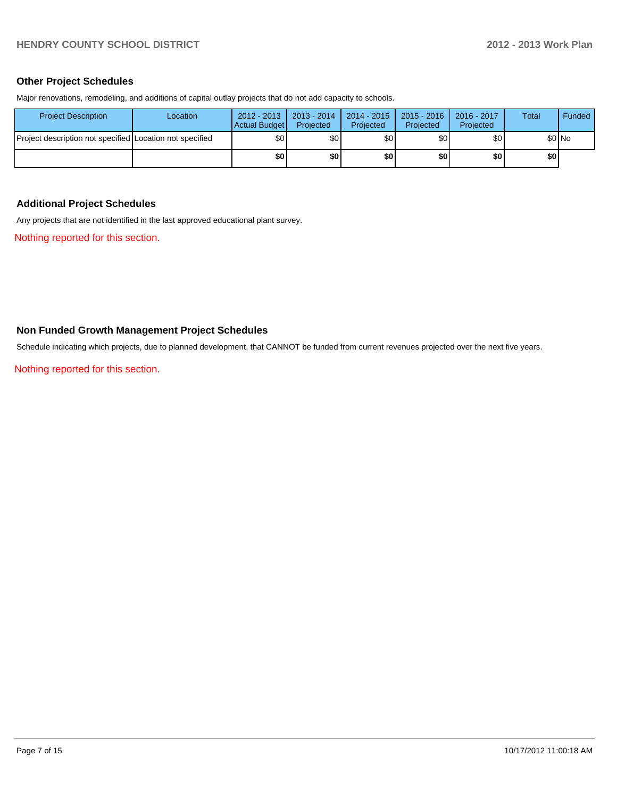### **Other Project Schedules**

Major renovations, remodeling, and additions of capital outlay projects that do not add capacity to schools.

| <b>Project Description</b>                               | Location | $2012 - 2013$<br>Actual Budget | $\vert$ 2013 - 2014<br>Projected | $2014 - 2015$<br>Projected | 2015 - 2016<br>Projected | $2016 - 2017$<br>Projected | Total | Funded |
|----------------------------------------------------------|----------|--------------------------------|----------------------------------|----------------------------|--------------------------|----------------------------|-------|--------|
| Project description not specified Location not specified |          | \$0 <sub>1</sub>               | \$0l                             | \$0                        | \$0                      | \$0                        |       | \$0 No |
|                                                          |          | \$0                            | \$0                              | \$0                        | \$0                      | \$0                        | \$0   |        |

### **Additional Project Schedules**

Any projects that are not identified in the last approved educational plant survey.

Nothing reported for this section.

### **Non Funded Growth Management Project Schedules**

Schedule indicating which projects, due to planned development, that CANNOT be funded from current revenues projected over the next five years.

Nothing reported for this section.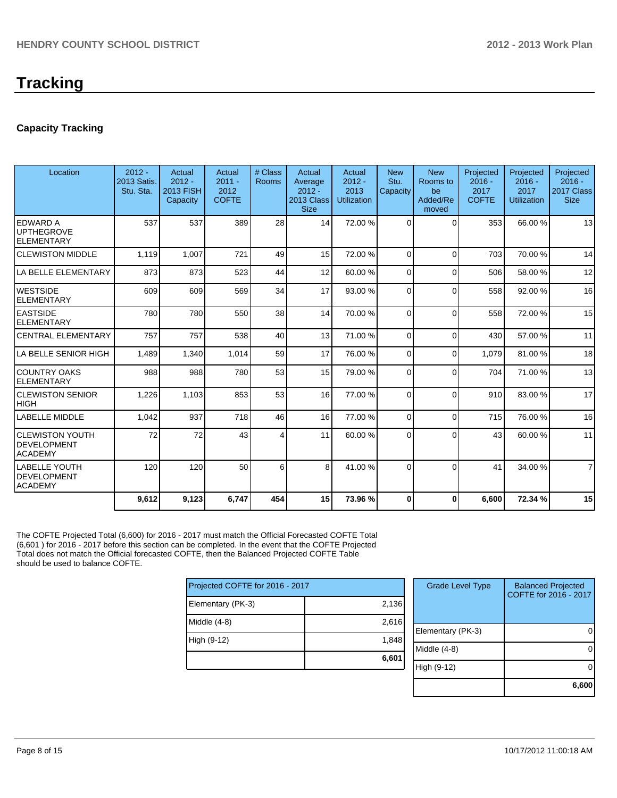## **Tracking**

### **Capacity Tracking**

| Location                                                      | $2012 -$<br>2013 Satis.<br>Stu. Sta. | Actual<br>$2012 -$<br>2013 FISH<br>Capacity | Actual<br>$2011 -$<br>2012<br><b>COFTE</b> | # Class<br><b>Rooms</b> | Actual<br>Average<br>$2012 -$<br>2013 Class<br><b>Size</b> | Actual<br>$2012 -$<br>2013<br><b>Utilization</b> | <b>New</b><br>Stu.<br>Capacity | <b>New</b><br>Rooms to<br>be<br>Added/Re<br>moved | Projected<br>$2016 -$<br>2017<br><b>COFTE</b> | Projected<br>$2016 -$<br>2017<br><b>Utilization</b> | Projected<br>$2016 -$<br>2017 Class<br><b>Size</b> |
|---------------------------------------------------------------|--------------------------------------|---------------------------------------------|--------------------------------------------|-------------------------|------------------------------------------------------------|--------------------------------------------------|--------------------------------|---------------------------------------------------|-----------------------------------------------|-----------------------------------------------------|----------------------------------------------------|
| ledward a<br><b>IUPTHEGROVE</b><br>IELEMENTARY                | 537                                  | 537                                         | 389                                        | 28                      | 14                                                         | 72.00 %                                          | $\Omega$                       | $\Omega$                                          | 353                                           | 66.00 %                                             | 13                                                 |
| <b>CLEWISTON MIDDLE</b>                                       | 1,119                                | 1,007                                       | 721                                        | 49                      | 15                                                         | 72.00 %                                          | $\Omega$                       | $\Omega$                                          | 703                                           | 70.00%                                              | 14                                                 |
| LA BELLE ELEMENTARY                                           | 873                                  | 873                                         | 523                                        | 44                      | 12                                                         | 60.00 %                                          | $\Omega$                       | $\Omega$                                          | 506                                           | 58.00 %                                             | 12                                                 |
| <b>IWESTSIDE</b><br><b>ELEMENTARY</b>                         | 609                                  | 609                                         | 569                                        | 34                      | 17                                                         | 93.00 %                                          | $\Omega$                       | $\Omega$                                          | 558                                           | 92.00 %                                             | 16                                                 |
| <b>LEASTSIDE</b><br><b>ELEMENTARY</b>                         | 780                                  | 780                                         | 550                                        | 38                      | 14                                                         | 70.00 %                                          | $\Omega$                       | $\Omega$                                          | 558                                           | 72.00%                                              | 15                                                 |
| <b>CENTRAL ELEMENTARY</b>                                     | 757                                  | 757                                         | 538                                        | 40                      | 13                                                         | 71.00 %                                          | $\Omega$                       | $\Omega$                                          | 430                                           | 57.00 %                                             | 11                                                 |
| LA BELLE SENIOR HIGH                                          | 1,489                                | 1,340                                       | 1,014                                      | 59                      | 17                                                         | 76.00 %                                          | $\Omega$                       | $\Omega$                                          | 1,079                                         | 81.00 %                                             | 18                                                 |
| ICOUNTRY OAKS<br>IELEMENTARY                                  | 988                                  | 988                                         | 780                                        | 53                      | 15                                                         | 79.00 %                                          | $\Omega$                       | $\Omega$                                          | 704                                           | 71.00 %                                             | 13                                                 |
| <b>ICLEWISTON SENIOR</b><br> HIGH                             | 1,226                                | 1,103                                       | 853                                        | 53                      | 16                                                         | 77.00 %                                          | $\Omega$                       | $\Omega$                                          | 910                                           | 83.00 %                                             | 17                                                 |
| ILABELLE MIDDLE                                               | 1,042                                | 937                                         | 718                                        | 46                      | 16                                                         | 77.00 %                                          | $\Omega$                       | $\Omega$                                          | 715                                           | 76.00 %                                             | 16                                                 |
| ICLEWISTON YOUTH<br>IDEVELOPMENT<br><b>ACADEMY</b>            | 72                                   | 72                                          | 43                                         | 4                       | 11                                                         | 60.00 %                                          | $\Omega$                       | $\Omega$                                          | 43                                            | 60.00%                                              | 11                                                 |
| <b>LABELLE YOUTH</b><br><b>IDEVELOPMENT</b><br><b>ACADEMY</b> | 120                                  | 120                                         | 50                                         | 6                       | 8 <sup>1</sup>                                             | 41.00 %                                          | $\Omega$                       | $\Omega$                                          | 41                                            | 34.00 %                                             | $\overline{7}$                                     |
|                                                               | 9,612                                | 9,123                                       | 6,747                                      | 454                     | 15                                                         | 73.96 %                                          | 0                              | $\Omega$                                          | 6,600                                         | 72.34 %                                             | 15                                                 |

The COFTE Projected Total (6,600) for 2016 - 2017 must match the Official Forecasted COFTE Total (6,601 ) for 2016 - 2017 before this section can be completed. In the event that the COFTE Projected Total does not match the Official forecasted COFTE, then the Balanced Projected COFTE Table should be used to balance COFTE.

| Projected COFTE for 2016 - 2017 |       |  |  |  |  |  |
|---------------------------------|-------|--|--|--|--|--|
| Elementary (PK-3)               | 2,136 |  |  |  |  |  |
| Middle (4-8)                    | 2,616 |  |  |  |  |  |
| High (9-12)                     | 1,848 |  |  |  |  |  |
|                                 | 6,601 |  |  |  |  |  |

| <b>Grade Level Type</b> | <b>Balanced Projected</b><br>COFTE for 2016 - 2017 |
|-------------------------|----------------------------------------------------|
| Elementary (PK-3)       |                                                    |
| Middle (4-8)            |                                                    |
| High (9-12)             |                                                    |
|                         | 6,600                                              |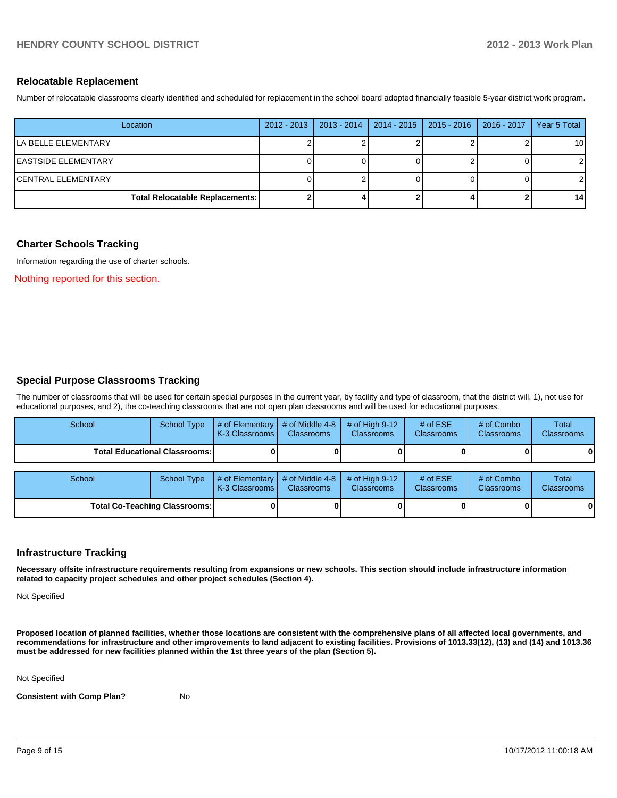### **Relocatable Replacement**

Number of relocatable classrooms clearly identified and scheduled for replacement in the school board adopted financially feasible 5-year district work program.

| Location                               | $2012 - 2013$ | $2013 - 2014$ | 2014 - 2015   2015 - 2016   2016 - 2017 | Year 5 Total    |
|----------------------------------------|---------------|---------------|-----------------------------------------|-----------------|
| lla belle elementary                   |               |               |                                         | 10 <sup>1</sup> |
| <b>EASTSIDE ELEMENTARY</b>             |               |               |                                         |                 |
| ICENTRAL ELEMENTARY                    |               |               |                                         |                 |
| <b>Total Relocatable Replacements:</b> |               |               |                                         | 14              |

### **Charter Schools Tracking**

Information regarding the use of charter schools.

Nothing reported for this section.

### **Special Purpose Classrooms Tracking**

The number of classrooms that will be used for certain special purposes in the current year, by facility and type of classroom, that the district will, 1), not use for educational purposes, and 2), the co-teaching classrooms that are not open plan classrooms and will be used for educational purposes.

| School | <b>School Type</b>                   | # of Elementary<br>K-3 Classrooms | # of Middle 4-8<br><b>Classrooms</b> | # of High $9-12$<br><b>Classrooms</b> | # of $ESE$<br><b>Classrooms</b> | # of Combo<br><b>Classrooms</b> | <b>Total</b><br><b>Classrooms</b> |
|--------|--------------------------------------|-----------------------------------|--------------------------------------|---------------------------------------|---------------------------------|---------------------------------|-----------------------------------|
|        | <b>Total Educational Classrooms:</b> |                                   |                                      |                                       |                                 |                                 | 01                                |
| School | <b>School Type</b>                   | # of Elementary<br>K-3 Classrooms | # of Middle 4-8<br><b>Classrooms</b> | # of High $9-12$<br><b>Classrooms</b> | # of $ESE$<br><b>Classrooms</b> | # of Combo<br><b>Classrooms</b> | Total<br><b>Classrooms</b>        |
|        | <b>Total Co-Teaching Classrooms:</b> |                                   |                                      |                                       |                                 |                                 | 01                                |

### **Infrastructure Tracking**

**Necessary offsite infrastructure requirements resulting from expansions or new schools. This section should include infrastructure information related to capacity project schedules and other project schedules (Section 4).**

Not Specified

**Proposed location of planned facilities, whether those locations are consistent with the comprehensive plans of all affected local governments, and recommendations for infrastructure and other improvements to land adjacent to existing facilities. Provisions of 1013.33(12), (13) and (14) and 1013.36 must be addressed for new facilities planned within the 1st three years of the plan (Section 5).**

Not Specified

**Consistent with Comp Plan?** No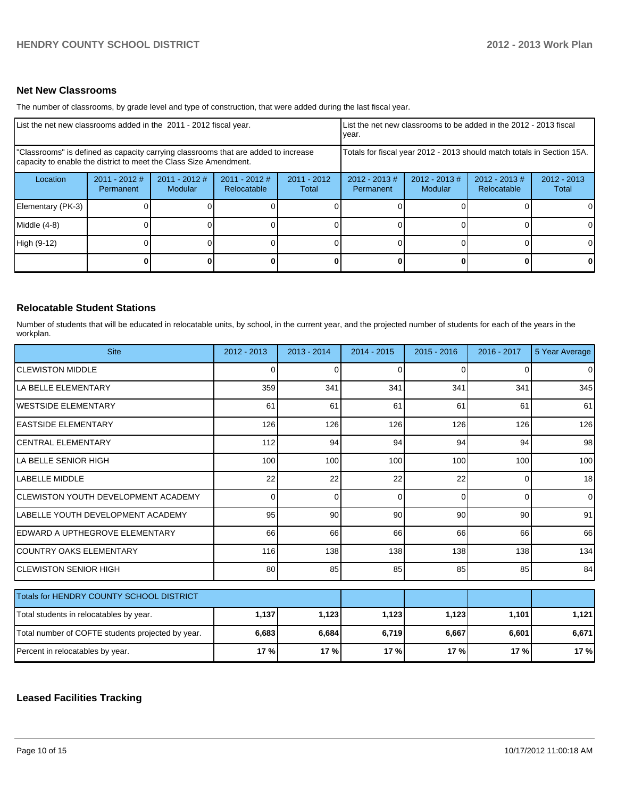### **Net New Classrooms**

The number of classrooms, by grade level and type of construction, that were added during the last fiscal year.

| List the net new classrooms added in the 2011 - 2012 fiscal year.                                                                                       |                              |                            |                                |                        | List the net new classrooms to be added in the 2012 - 2013 fiscal<br>Ivear. |                            |                                |                        |
|---------------------------------------------------------------------------------------------------------------------------------------------------------|------------------------------|----------------------------|--------------------------------|------------------------|-----------------------------------------------------------------------------|----------------------------|--------------------------------|------------------------|
| "Classrooms" is defined as capacity carrying classrooms that are added to increase<br>capacity to enable the district to meet the Class Size Amendment. |                              |                            |                                |                        | Totals for fiscal year 2012 - 2013 should match totals in Section 15A.      |                            |                                |                        |
| Location                                                                                                                                                | $2011 - 2012$ #<br>Permanent | $2011 - 2012$ #<br>Modular | $2011 - 2012$ #<br>Relocatable | $2011 - 2012$<br>Total | $2012 - 2013 \#$<br>Permanent                                               | $2012 - 2013$ #<br>Modular | $2012 - 2013$ #<br>Relocatable | $2012 - 2013$<br>Total |
| Elementary (PK-3)                                                                                                                                       |                              |                            |                                |                        |                                                                             |                            |                                | $\Omega$               |
| Middle (4-8)                                                                                                                                            |                              |                            |                                |                        |                                                                             |                            |                                | $\Omega$               |
| High (9-12)                                                                                                                                             |                              |                            |                                |                        |                                                                             |                            |                                | $\Omega$               |
|                                                                                                                                                         |                              |                            |                                |                        |                                                                             |                            | <sup>0</sup>                   | $\mathbf{0}$           |

### **Relocatable Student Stations**

Number of students that will be educated in relocatable units, by school, in the current year, and the projected number of students for each of the years in the workplan.

| <b>Site</b>                                       | 2012 - 2013 | $2013 - 2014$   | 2014 - 2015 | $2015 - 2016$ | 2016 - 2017 | 5 Year Average  |
|---------------------------------------------------|-------------|-----------------|-------------|---------------|-------------|-----------------|
| <b>ICLEWISTON MIDDLE</b>                          | 0           | 0               | 0           | $\Omega$      | 0           | $\overline{0}$  |
| LA BELLE ELEMENTARY                               | 359         | 341             | 341         | 341           | 341         | 345             |
| <b>I</b> WESTSIDE ELEMENTARY                      | 61          | 61              | 61          | 61            | 61          | 61              |
| <b>IEASTSIDE ELEMENTARY</b>                       | 126         | 126             | 126         | 126           | 126         | 126             |
| ICENTRAL ELEMENTARY                               | 112         | 94              | 94          | 94            | 94          | 98 <sup>°</sup> |
| LLA BELLE SENIOR HIGH                             | 100         | 100             | 100         | 100           | 100         | 100             |
| <b>LABELLE MIDDLE</b>                             | 22          | 22              | 22          | 22            | 0           | 18 <sup>l</sup> |
| ICLEWISTON YOUTH DEVELOPMENT ACADEMY              | 0           | 0               | 0           | $\Omega$      | $\Omega$    | $\overline{0}$  |
| ILABELLE YOUTH DEVELOPMENT ACADEMY                | 95          | 90 <sup>°</sup> | 90          | 90            | 90          | 91              |
| IEDWARD A UPTHEGROVE ELEMENTARY                   | 66          | 66              | 66          | 66            | 66          | 66              |
| ICOUNTRY OAKS ELEMENTARY                          | 116         | 138             | 138         | 138           | 138         | 134             |
| ICLEWISTON SENIOR HIGH                            | 80          | 85              | 85          | 85            | 85          | 84              |
| Totals for HENDRY COUNTY SCHOOL DISTRICT          |             |                 |             |               |             |                 |
|                                                   |             |                 |             |               |             |                 |
| Total students in relocatables by year.           | 1,137       | 1,123           | 1,123       | 1,123         | 1,101       | 1,121           |
| Total number of COFTE students projected by year. | 6,683       | 6,684           | 6,719       | 6,667         | 6,601       | 6,671           |
| Percent in relocatables by year.                  | 17 %        | 17 %            | 17%         | 17%           | 17%         | 17 %            |

### **Leased Facilities Tracking**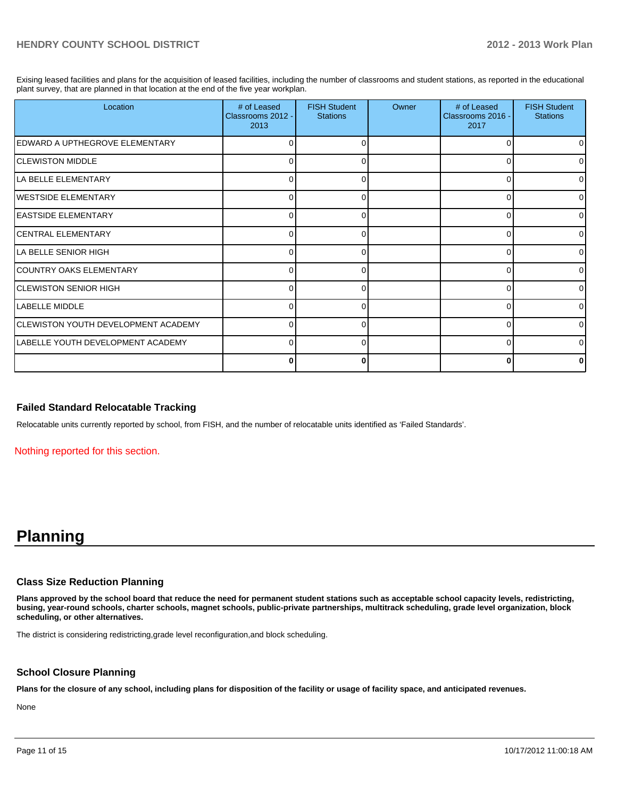Exising leased facilities and plans for the acquisition of leased facilities, including the number of classrooms and student stations, as reported in the educational plant survey, that are planned in that location at the end of the five year workplan.

| Location                                   | # of Leased<br>Classrooms 2012 -<br>2013 | <b>FISH Student</b><br><b>Stations</b> | Owner | # of Leased<br>Classrooms 2016 -<br>2017 | <b>FISH Student</b><br><b>Stations</b> |
|--------------------------------------------|------------------------------------------|----------------------------------------|-------|------------------------------------------|----------------------------------------|
| EDWARD A UPTHEGROVE ELEMENTARY             | 0                                        | 0                                      |       | 0                                        |                                        |
| <b>CLEWISTON MIDDLE</b>                    | O                                        |                                        |       |                                          |                                        |
| LA BELLE ELEMENTARY                        | 0                                        | 0                                      |       | 0                                        |                                        |
| <b>IWESTSIDE ELEMENTARY</b>                | n                                        | U                                      |       | n                                        |                                        |
| <b>EASTSIDE ELEMENTARY</b>                 | 0                                        | 0                                      |       | $\Omega$                                 |                                        |
| <b>CENTRAL ELEMENTARY</b>                  | $\Omega$                                 | U                                      |       | ∩                                        |                                        |
| LA BELLE SENIOR HIGH                       | 0                                        | 0                                      |       | 0                                        |                                        |
| COUNTRY OAKS ELEMENTARY                    | $\Omega$                                 | <sup>0</sup>                           |       | ∩                                        |                                        |
| <b>CLEWISTON SENIOR HIGH</b>               | 0                                        | 0                                      |       | $\Omega$                                 |                                        |
| LABELLE MIDDLE                             | 0                                        | U                                      |       | ∩                                        |                                        |
| <b>CLEWISTON YOUTH DEVELOPMENT ACADEMY</b> | 0                                        | O                                      |       | $\Omega$                                 |                                        |
| LABELLE YOUTH DEVELOPMENT ACADEMY          | 0                                        | $\Omega$                               |       | ∩                                        |                                        |
|                                            | 0                                        |                                        |       | 0                                        |                                        |

### **Failed Standard Relocatable Tracking**

Relocatable units currently reported by school, from FISH, and the number of relocatable units identified as 'Failed Standards'.

Nothing reported for this section.

## **Planning**

#### **Class Size Reduction Planning**

**Plans approved by the school board that reduce the need for permanent student stations such as acceptable school capacity levels, redistricting, busing, year-round schools, charter schools, magnet schools, public-private partnerships, multitrack scheduling, grade level organization, block scheduling, or other alternatives.**

The district is considering redistricting,grade level reconfiguration,and block scheduling.

### **School Closure Planning**

**Plans for the closure of any school, including plans for disposition of the facility or usage of facility space, and anticipated revenues.**

None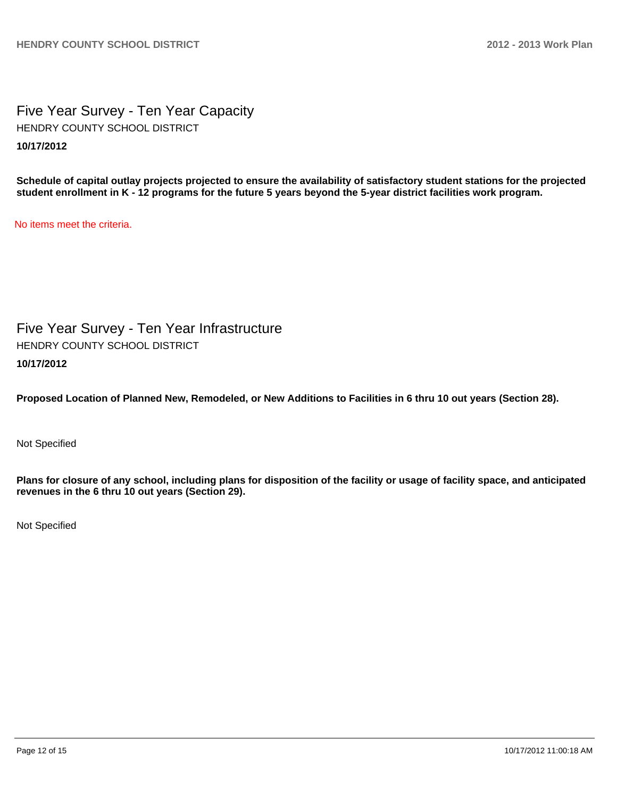Five Year Survey - Ten Year Capacity **10/17/2012** HENDRY COUNTY SCHOOL DISTRICT

**Schedule of capital outlay projects projected to ensure the availability of satisfactory student stations for the projected student enrollment in K - 12 programs for the future 5 years beyond the 5-year district facilities work program.**

No items meet the criteria.

Five Year Survey - Ten Year Infrastructure **10/17/2012** HENDRY COUNTY SCHOOL DISTRICT

**Proposed Location of Planned New, Remodeled, or New Additions to Facilities in 6 thru 10 out years (Section 28).**

Not Specified

**Plans for closure of any school, including plans for disposition of the facility or usage of facility space, and anticipated revenues in the 6 thru 10 out years (Section 29).**

Not Specified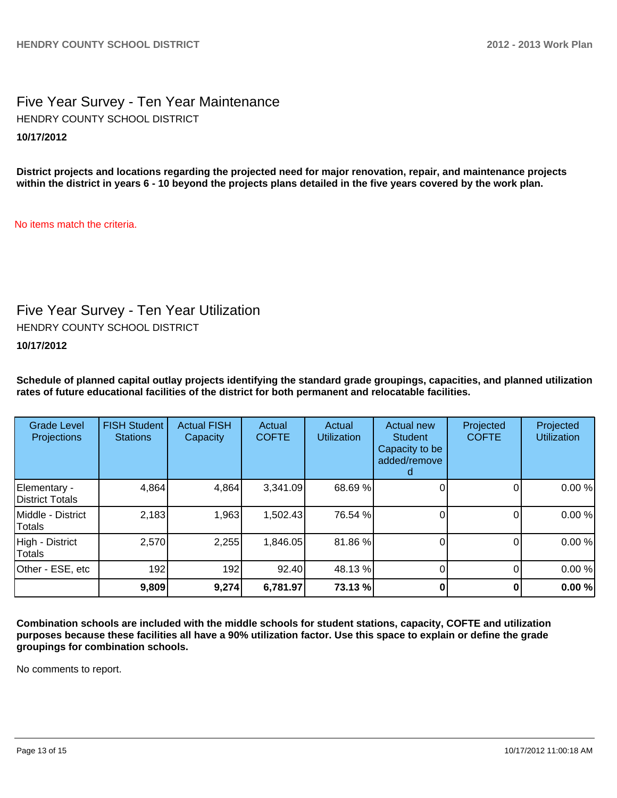### Five Year Survey - Ten Year Maintenance **10/17/2012** HENDRY COUNTY SCHOOL DISTRICT

**District projects and locations regarding the projected need for major renovation, repair, and maintenance projects within the district in years 6 - 10 beyond the projects plans detailed in the five years covered by the work plan.**

No items match the criteria.

## Five Year Survey - Ten Year Utilization

HENDRY COUNTY SCHOOL DISTRICT

**10/17/2012**

**Schedule of planned capital outlay projects identifying the standard grade groupings, capacities, and planned utilization rates of future educational facilities of the district for both permanent and relocatable facilities.**

| <b>Grade Level</b><br>Projections | <b>FISH Student</b><br><b>Stations</b> | <b>Actual FISH</b><br>Capacity | Actual<br><b>COFTE</b> | Actual<br><b>Utilization</b> | Actual new<br><b>Student</b><br>Capacity to be<br>added/remove | Projected<br><b>COFTE</b> | Projected<br><b>Utilization</b> |
|-----------------------------------|----------------------------------------|--------------------------------|------------------------|------------------------------|----------------------------------------------------------------|---------------------------|---------------------------------|
| Elementary -<br>District Totals   | 4,864                                  | 4,864                          | 3,341.09               | 68.69 %                      |                                                                |                           | 0.00%                           |
| Middle - District<br>Totals       | 2,183                                  | 1,963                          | 1,502.43               | 76.54 %                      |                                                                |                           | 0.00%                           |
| High - District<br>Totals         | 2,570                                  | 2,255                          | 1,846.05               | 81.86 %                      |                                                                |                           | 0.00%                           |
| Other - ESE, etc                  | 192                                    | 192                            | 92.40                  | 48.13%                       |                                                                |                           | 0.00%                           |
|                                   | 9,809                                  | 9,274                          | 6,781.97               | 73.13 %                      |                                                                |                           | 0.00%                           |

**Combination schools are included with the middle schools for student stations, capacity, COFTE and utilization purposes because these facilities all have a 90% utilization factor. Use this space to explain or define the grade groupings for combination schools.**

No comments to report.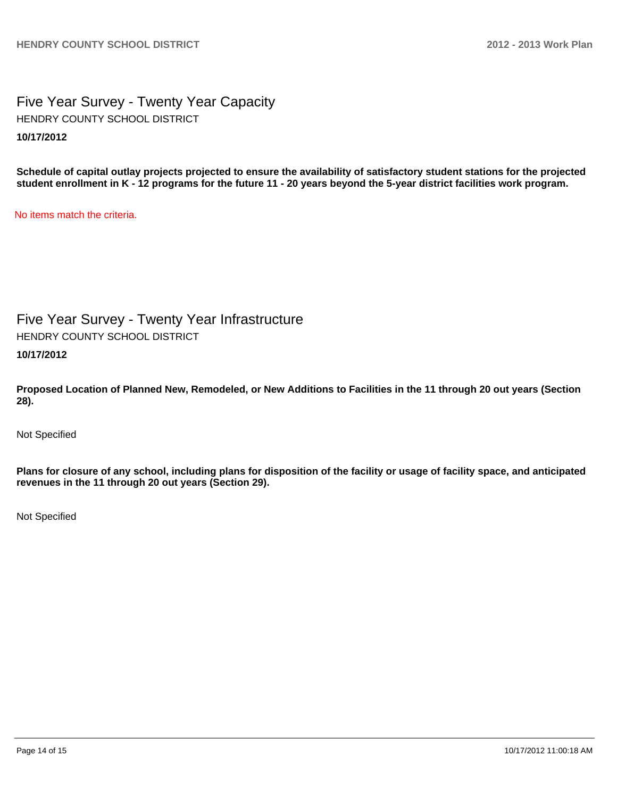Five Year Survey - Twenty Year Capacity **10/17/2012** HENDRY COUNTY SCHOOL DISTRICT

**Schedule of capital outlay projects projected to ensure the availability of satisfactory student stations for the projected student enrollment in K - 12 programs for the future 11 - 20 years beyond the 5-year district facilities work program.**

No items match the criteria.

Five Year Survey - Twenty Year Infrastructure HENDRY COUNTY SCHOOL DISTRICT

**10/17/2012**

**Proposed Location of Planned New, Remodeled, or New Additions to Facilities in the 11 through 20 out years (Section 28).**

Not Specified

**Plans for closure of any school, including plans for disposition of the facility or usage of facility space, and anticipated revenues in the 11 through 20 out years (Section 29).**

Not Specified